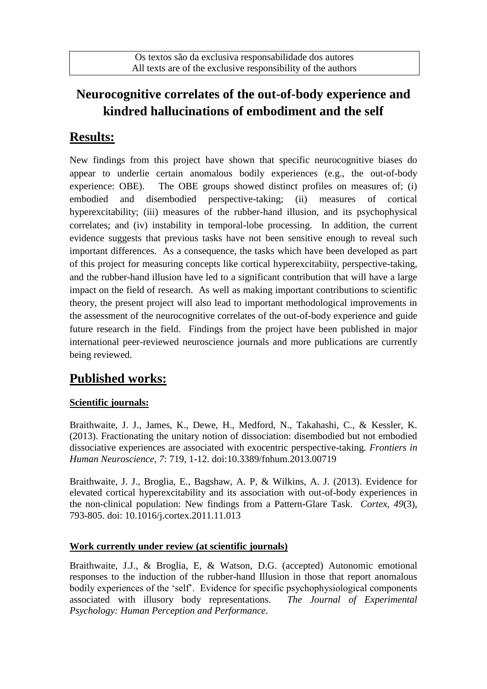## **Neurocognitive correlates of the out-of-body experience and kindred hallucinations of embodiment and the self**

## **Results:**

New findings from this project have shown that specific neurocognitive biases do appear to underlie certain anomalous bodily experiences (e.g., the out-of-body experience: OBE). The OBE groups showed distinct profiles on measures of; (i) embodied and disembodied perspective-taking; (ii) measures of cortical hyperexcitability; (iii) measures of the rubber-hand illusion, and its psychophysical correlates; and (iv) instability in temporal-lobe processing. In addition, the current evidence suggests that previous tasks have not been sensitive enough to reveal such important differences. As a consequence, the tasks which have been developed as part of this project for measuring concepts like cortical hyperexcitabiity, perspective-taking, and the rubber-hand illusion have led to a significant contribution that will have a large impact on the field of research. As well as making important contributions to scientific theory, the present project will also lead to important methodological improvements in the assessment of the neurocognitive correlates of the out-of-body experience and guide future research in the field. Findings from the project have been published in major international peer-reviewed neuroscience journals and more publications are currently being reviewed.

# **Published works:**

### **Scientific journals:**

Braithwaite, J. J., James, K., Dewe, H., Medford, N., Takahashi, C., & Kessler, K. (2013). Fractionating the unitary notion of dissociation: disembodied but not embodied dissociative experiences are associated with exocentric perspective-taking*. Frontiers in Human Neuroscience, 7*: 719, 1-12. doi:10.3389/fnhum.2013.00719

Braithwaite, J. J., Broglia, E., Bagshaw, A. P, & Wilkins, A. J. (2013). Evidence for elevated cortical hyperexcitability and its association with out-of-body experiences in the non-clinical population: New findings from a Pattern-Glare Task. *Cortex, 49*(3), 793-805. doi: 10.1016/j.cortex.2011.11.013

#### **Work currently under review (at scientific journals)**

Braithwaite, J.J., & Broglia, E, & Watson, D.G. (accepted) Autonomic emotional responses to the induction of the rubber-hand Illusion in those that report anomalous bodily experiences of the 'self'. Evidence for specific psychophysiological components associated with illusory body representations. *The Journal of Experimental Psychology: Human Perception and Performance.*